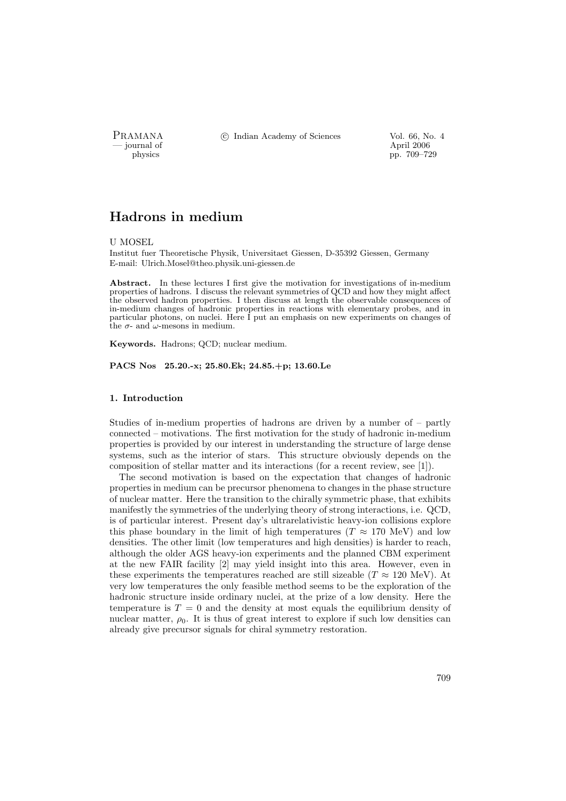— journal of April 2006

PRAMANA <sup>©</sup>© Indian Academy of Sciences Vol. 66, No. 4

physics pp. 709–729

# Hadrons in medium

#### U MOSEL

Institut fuer Theoretische Physik, Universitaet Giessen, D-35392 Giessen, Germany E-mail: Ulrich.Mosel@theo.physik.uni-giessen.de

Abstract. In these lectures I first give the motivation for investigations of in-medium properties of hadrons. I discuss the relevant symmetries of QCD and how they might affect the observed hadron properties. I then discuss at length the observable consequences of in-medium changes of hadronic properties in reactions with elementary probes, and in particular photons, on nuclei. Here I put an emphasis on new experiments on changes of the  $\sigma$ - and  $\omega$ -mesons in medium.

Keywords. Hadrons; QCD; nuclear medium.

PACS Nos 25.20.-x; 25.80.Ek; 24.85.+p; 13.60.Le

# 1. Introduction

Studies of in-medium properties of hadrons are driven by a number of – partly connected – motivations. The first motivation for the study of hadronic in-medium properties is provided by our interest in understanding the structure of large dense systems, such as the interior of stars. This structure obviously depends on the composition of stellar matter and its interactions (for a recent review, see [1]).

The second motivation is based on the expectation that changes of hadronic properties in medium can be precursor phenomena to changes in the phase structure of nuclear matter. Here the transition to the chirally symmetric phase, that exhibits manifestly the symmetries of the underlying theory of strong interactions, i.e. QCD, is of particular interest. Present day's ultrarelativistic heavy-ion collisions explore this phase boundary in the limit of high temperatures ( $T \approx 170$  MeV) and low densities. The other limit (low temperatures and high densities) is harder to reach, although the older AGS heavy-ion experiments and the planned CBM experiment at the new FAIR facility [2] may yield insight into this area. However, even in these experiments the temperatures reached are still sizeable ( $T \approx 120$  MeV). At very low temperatures the only feasible method seems to be the exploration of the hadronic structure inside ordinary nuclei, at the prize of a low density. Here the temperature is  $T = 0$  and the density at most equals the equilibrium density of nuclear matter,  $\rho_0$ . It is thus of great interest to explore if such low densities can already give precursor signals for chiral symmetry restoration.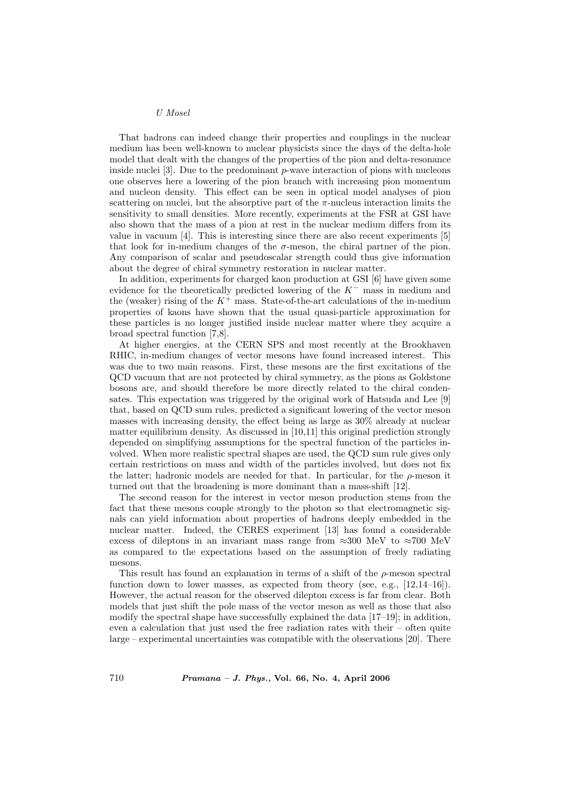That hadrons can indeed change their properties and couplings in the nuclear medium has been well-known to nuclear physicists since the days of the delta-hole model that dealt with the changes of the properties of the pion and delta-resonance inside nuclei  $[3]$ . Due to the predominant *p*-wave interaction of pions with nucleons one observes here a lowering of the pion branch with increasing pion momentum and nucleon density. This effect can be seen in optical model analyses of pion scattering on nuclei, but the absorptive part of the  $\pi$ -nucleus interaction limits the sensitivity to small densities. More recently, experiments at the FSR at GSI have also shown that the mass of a pion at rest in the nuclear medium differs from its value in vacuum [4]. This is interesting since there are also recent experiments [5] that look for in-medium changes of the  $\sigma$ -meson, the chiral partner of the pion. Any comparison of scalar and pseudoscalar strength could thus give information about the degree of chiral symmetry restoration in nuclear matter.

In addition, experiments for charged kaon production at GSI [6] have given some evidence for the theoretically predicted lowering of the K<sup>−</sup> mass in medium and the (weaker) rising of the  $K^+$  mass. State-of-the-art calculations of the in-medium properties of kaons have shown that the usual quasi-particle approximation for these particles is no longer justified inside nuclear matter where they acquire a broad spectral function [7,8].

At higher energies, at the CERN SPS and most recently at the Brookhaven RHIC, in-medium changes of vector mesons have found increased interest. This was due to two main reasons. First, these mesons are the first excitations of the QCD vacuum that are not protected by chiral symmetry, as the pions as Goldstone bosons are, and should therefore be more directly related to the chiral condensates. This expectation was triggered by the original work of Hatsuda and Lee [9] that, based on QCD sum rules, predicted a significant lowering of the vector meson masses with increasing density, the effect being as large as 30% already at nuclear matter equilibrium density. As discussed in [10,11] this original prediction strongly depended on simplifying assumptions for the spectral function of the particles involved. When more realistic spectral shapes are used, the QCD sum rule gives only certain restrictions on mass and width of the particles involved, but does not fix the latter; hadronic models are needed for that. In particular, for the  $\rho$ -meson it turned out that the broadening is more dominant than a mass-shift [12].

The second reason for the interest in vector meson production stems from the fact that these mesons couple strongly to the photon so that electromagnetic signals can yield information about properties of hadrons deeply embedded in the nuclear matter. Indeed, the CERES experiment [13] has found a considerable excess of dileptons in an invariant mass range from  $\approx 300$  MeV to  $\approx 700$  MeV as compared to the expectations based on the assumption of freely radiating mesons.

This result has found an explanation in terms of a shift of the  $\rho$ -meson spectral function down to lower masses, as expected from theory (see, e.g.,  $[12.14-16]$ ). However, the actual reason for the observed dilepton excess is far from clear. Both models that just shift the pole mass of the vector meson as well as those that also modify the spectral shape have successfully explained the data [17–19]; in addition, even a calculation that just used the free radiation rates with their – often quite large – experimental uncertainties was compatible with the observations [20]. There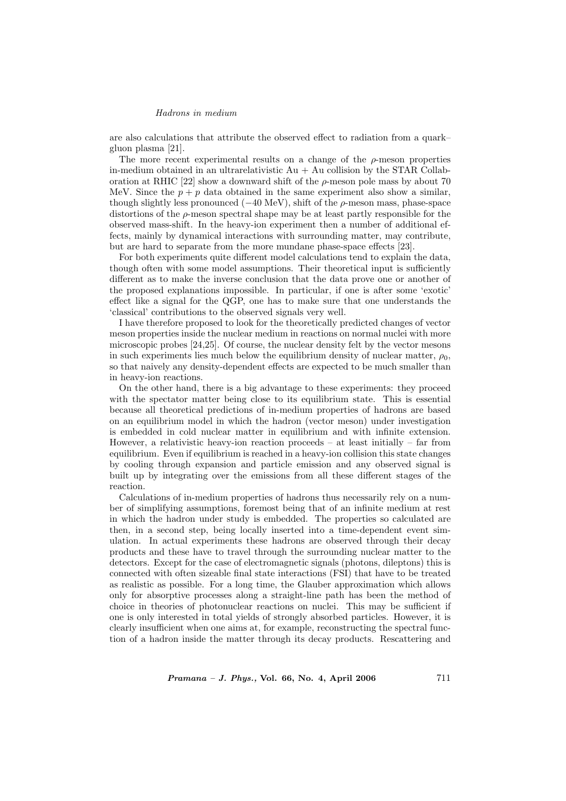are also calculations that attribute the observed effect to radiation from a quark– gluon plasma [21].

The more recent experimental results on a change of the  $\rho$ -meson properties in-medium obtained in an ultrarelativistic  $Au + Au$  collision by the STAR Collaboration at RHIC [22] show a downward shift of the  $\rho$ -meson pole mass by about 70 MeV. Since the  $p + p$  data obtained in the same experiment also show a similar, though slightly less pronounced  $(-40 \text{ MeV})$ , shift of the  $\rho$ -meson mass, phase-space distortions of the  $\rho$ -meson spectral shape may be at least partly responsible for the observed mass-shift. In the heavy-ion experiment then a number of additional effects, mainly by dynamical interactions with surrounding matter, may contribute, but are hard to separate from the more mundane phase-space effects [23].

For both experiments quite different model calculations tend to explain the data, though often with some model assumptions. Their theoretical input is sufficiently different as to make the inverse conclusion that the data prove one or another of the proposed explanations impossible. In particular, if one is after some 'exotic' effect like a signal for the QGP, one has to make sure that one understands the 'classical' contributions to the observed signals very well.

I have therefore proposed to look for the theoretically predicted changes of vector meson properties inside the nuclear medium in reactions on normal nuclei with more microscopic probes [24,25]. Of course, the nuclear density felt by the vector mesons in such experiments lies much below the equilibrium density of nuclear matter,  $\rho_0$ , so that naively any density-dependent effects are expected to be much smaller than in heavy-ion reactions.

On the other hand, there is a big advantage to these experiments: they proceed with the spectator matter being close to its equilibrium state. This is essential because all theoretical predictions of in-medium properties of hadrons are based on an equilibrium model in which the hadron (vector meson) under investigation is embedded in cold nuclear matter in equilibrium and with infinite extension. However, a relativistic heavy-ion reaction proceeds  $-$  at least initially  $-$  far from equilibrium. Even if equilibrium is reached in a heavy-ion collision this state changes by cooling through expansion and particle emission and any observed signal is built up by integrating over the emissions from all these different stages of the reaction.

Calculations of in-medium properties of hadrons thus necessarily rely on a number of simplifying assumptions, foremost being that of an infinite medium at rest in which the hadron under study is embedded. The properties so calculated are then, in a second step, being locally inserted into a time-dependent event simulation. In actual experiments these hadrons are observed through their decay products and these have to travel through the surrounding nuclear matter to the detectors. Except for the case of electromagnetic signals (photons, dileptons) this is connected with often sizeable final state interactions (FSI) that have to be treated as realistic as possible. For a long time, the Glauber approximation which allows only for absorptive processes along a straight-line path has been the method of choice in theories of photonuclear reactions on nuclei. This may be sufficient if one is only interested in total yields of strongly absorbed particles. However, it is clearly insufficient when one aims at, for example, reconstructing the spectral function of a hadron inside the matter through its decay products. Rescattering and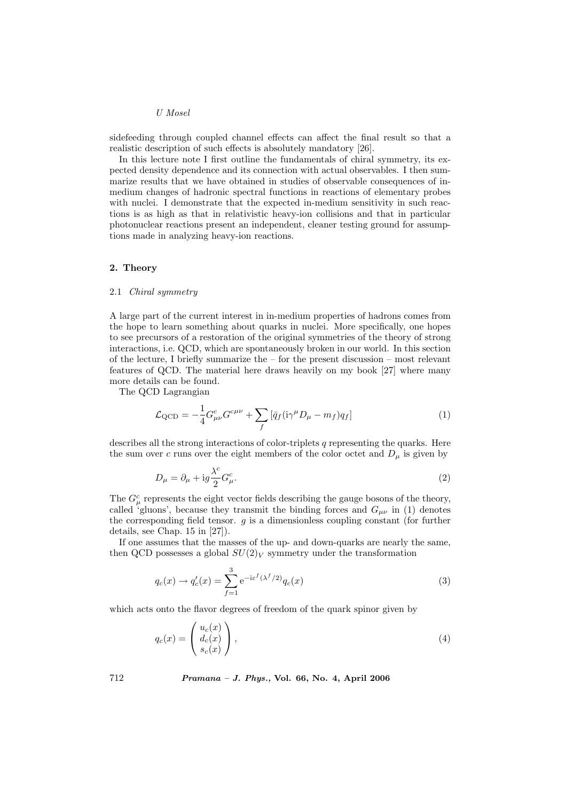sidefeeding through coupled channel effects can affect the final result so that a realistic description of such effects is absolutely mandatory [26].

In this lecture note I first outline the fundamentals of chiral symmetry, its expected density dependence and its connection with actual observables. I then summarize results that we have obtained in studies of observable consequences of inmedium changes of hadronic spectral functions in reactions of elementary probes with nuclei. I demonstrate that the expected in-medium sensitivity in such reactions is as high as that in relativistic heavy-ion collisions and that in particular photonuclear reactions present an independent, cleaner testing ground for assumptions made in analyzing heavy-ion reactions.

# 2. Theory

#### 2.1 Chiral symmetry

A large part of the current interest in in-medium properties of hadrons comes from the hope to learn something about quarks in nuclei. More specifically, one hopes to see precursors of a restoration of the original symmetries of the theory of strong interactions, i.e. QCD, which are spontaneously broken in our world. In this section of the lecture, I briefly summarize the  $-$  for the present discussion  $-$  most relevant features of QCD. The material here draws heavily on my book [27] where many more details can be found.

The QCD Lagrangian

$$
\mathcal{L}_{\text{QCD}} = -\frac{1}{4} G_{\mu\nu}^c G^{c\mu\nu} + \sum_f \left[ \bar{q}_f (i\gamma^\mu D_\mu - m_f) q_f \right] \tag{1}
$$

describes all the strong interactions of color-triplets  $q$  representing the quarks. Here the sum over c runs over the eight members of the color octet and  $D_{\mu}$  is given by

$$
D_{\mu} = \partial_{\mu} + \mathrm{i}g \frac{\lambda^c}{2} G_{\mu}^c. \tag{2}
$$

The  $G_{\mu}^{c}$  represents the eight vector fields describing the gauge bosons of the theory, called 'gluons', because they transmit the binding forces and  $G_{\mu\nu}$  in (1) denotes the corresponding field tensor. g is a dimensionless coupling constant (for further details, see Chap. 15 in [27]).

If one assumes that the masses of the up- and down-quarks are nearly the same, then QCD possesses a global  $SU(2)_V$  symmetry under the transformation

$$
q_c(x) \to q'_c(x) = \sum_{f=1}^3 e^{-i\varepsilon^f (\lambda^f/2)} q_c(x)
$$
 (3)

which acts onto the flavor degrees of freedom of the quark spinor given by

$$
q_c(x) = \begin{pmatrix} u_c(x) \\ d_c(x) \\ s_c(x) \end{pmatrix},
$$
\n(4)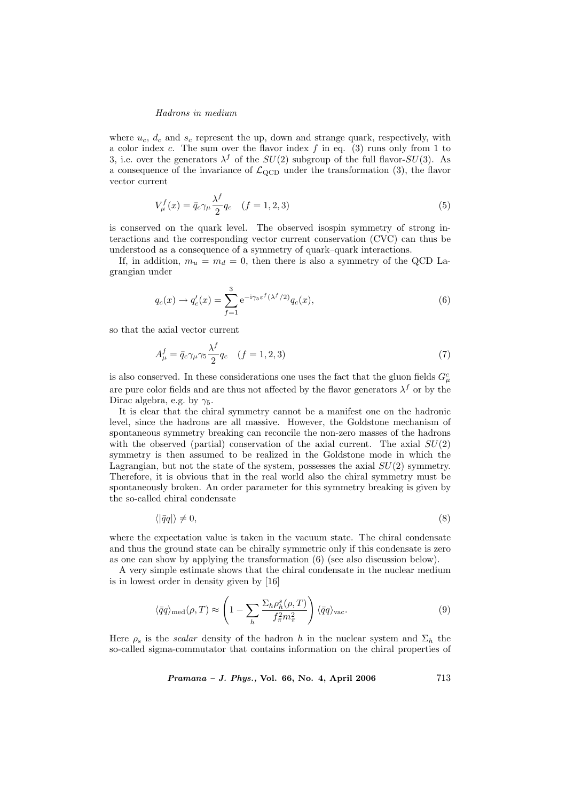where  $u_c$ ,  $d_c$  and  $s_c$  represent the up, down and strange quark, respectively, with a color index c. The sum over the flavor index  $f$  in eq. (3) runs only from 1 to 3, i.e. over the generators  $\lambda^f$  of the  $SU(2)$  subgroup of the full flavor- $SU(3)$ . As a consequence of the invariance of  $\mathcal{L}_{\text{QCD}}$  under the transformation (3), the flavor vector current

$$
V_{\mu}^{f}(x) = \bar{q}_{c} \gamma_{\mu} \frac{\lambda^{f}}{2} q_{c} \quad (f = 1, 2, 3)
$$
\n(5)

is conserved on the quark level. The observed isospin symmetry of strong interactions and the corresponding vector current conservation (CVC) can thus be understood as a consequence of a symmetry of quark–quark interactions.

If, in addition,  $m_u = m_d = 0$ , then there is also a symmetry of the QCD Lagrangian under

$$
q_c(x) \to q'_c(x) = \sum_{f=1}^3 e^{-i\gamma_5 \varepsilon^f(\lambda^f/2)} q_c(x), \tag{6}
$$

so that the axial vector current

$$
A^f_\mu = \bar{q}_c \gamma_\mu \gamma_5 \frac{\lambda^f}{2} q_c \quad (f = 1, 2, 3)
$$
\n<sup>(7)</sup>

is also conserved. In these considerations one uses the fact that the gluon fields  $G^c_\mu$ are pure color fields and are thus not affected by the flavor generators  $\lambda^f$  or by the Dirac algebra, e.g. by  $\gamma_5$ .

It is clear that the chiral symmetry cannot be a manifest one on the hadronic level, since the hadrons are all massive. However, the Goldstone mechanism of spontaneous symmetry breaking can reconcile the non-zero masses of the hadrons with the observed (partial) conservation of the axial current. The axial  $SU(2)$ symmetry is then assumed to be realized in the Goldstone mode in which the Lagrangian, but not the state of the system, possesses the axial  $SU(2)$  symmetry. Therefore, it is obvious that in the real world also the chiral symmetry must be spontaneously broken. An order parameter for this symmetry breaking is given by the so-called chiral condensate

$$
\langle |\bar{q}q| \rangle \neq 0,\tag{8}
$$

where the expectation value is taken in the vacuum state. The chiral condensate and thus the ground state can be chirally symmetric only if this condensate is zero as one can show by applying the transformation (6) (see also discussion below).

A very simple estimate shows that the chiral condensate in the nuclear medium is in lowest order in density given by [16]

$$
\langle \bar{q}q \rangle_{\text{med}}(\rho, T) \approx \left(1 - \sum_{h} \frac{\Sigma_{h} \rho_{h}^{s}(\rho, T)}{f_{\pi}^{2} m_{\pi}^{2}}\right) \langle \bar{q}q \rangle_{\text{vac}}.\tag{9}
$$

Here  $\rho_s$  is the *scalar* density of the hadron h in the nuclear system and  $\Sigma_h$  the so-called sigma-commutator that contains information on the chiral properties of

Pramana – J. Phys., Vol. 66, No. 4, April 2006 713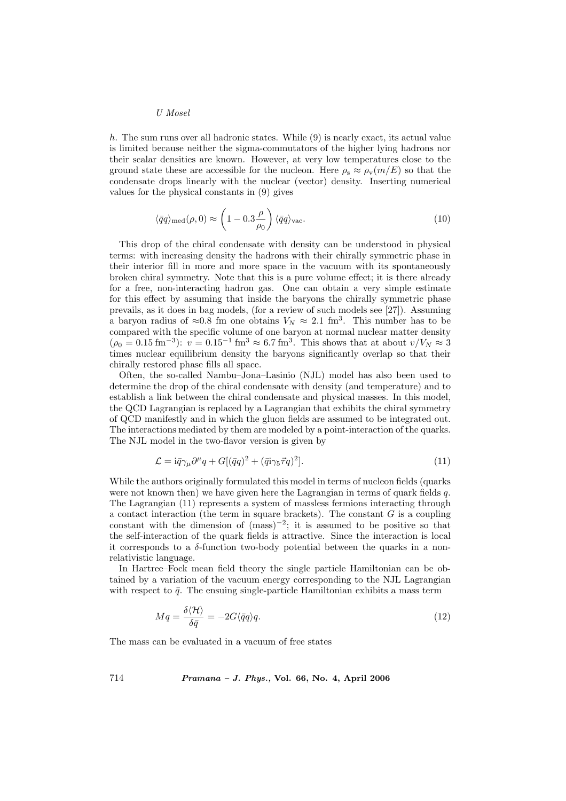h. The sum runs over all hadronic states. While (9) is nearly exact, its actual value is limited because neither the sigma-commutators of the higher lying hadrons nor their scalar densities are known. However, at very low temperatures close to the ground state these are accessible for the nucleon. Here  $\rho_s \approx \rho_v(m/E)$  so that the condensate drops linearly with the nuclear (vector) density. Inserting numerical values for the physical constants in (9) gives

$$
\langle \bar{q}q \rangle_{\text{med}}(\rho, 0) \approx \left(1 - 0.3 \frac{\rho}{\rho_0}\right) \langle \bar{q}q \rangle_{\text{vac}}.
$$
\n(10)

This drop of the chiral condensate with density can be understood in physical terms: with increasing density the hadrons with their chirally symmetric phase in their interior fill in more and more space in the vacuum with its spontaneously broken chiral symmetry. Note that this is a pure volume effect; it is there already for a free, non-interacting hadron gas. One can obtain a very simple estimate for this effect by assuming that inside the baryons the chirally symmetric phase prevails, as it does in bag models, (for a review of such models see [27]). Assuming a baryon radius of  $\approx 0.8$  fm one obtains  $V_N \approx 2.1 \text{ fm}^3$ . This number has to be compared with the specific volume of one baryon at normal nuclear matter density  $(\rho_0 = 0.15 \,\text{fm}^{-3})$ :  $v = 0.15^{-1} \,\text{fm}^3 \approx 6.7 \,\text{fm}^3$ . This shows that at about  $v/V_N \approx 3$ times nuclear equilibrium density the baryons significantly overlap so that their chirally restored phase fills all space.

Often, the so-called Nambu–Jona–Lasinio (NJL) model has also been used to determine the drop of the chiral condensate with density (and temperature) and to establish a link between the chiral condensate and physical masses. In this model, the QCD Lagrangian is replaced by a Lagrangian that exhibits the chiral symmetry of QCD manifestly and in which the gluon fields are assumed to be integrated out. The interactions mediated by them are modeled by a point-interaction of the quarks. The NJL model in the two-flavor version is given by

$$
\mathcal{L} = \mathrm{i}\bar{q}\gamma_{\mu}\partial^{\mu}q + G[(\bar{q}q)^{2} + (\bar{q}\mathrm{i}\gamma_{5}\vec{\tau}q)^{2}].\tag{11}
$$

While the authors originally formulated this model in terms of nucleon fields (quarks were not known then) we have given here the Lagrangian in terms of quark fields q. The Lagrangian (11) represents a system of massless fermions interacting through a contact interaction (the term in square brackets). The constant  $G$  is a coupling constant with the dimension of  $(mass)^{-2}$ ; it is assumed to be positive so that the self-interaction of the quark fields is attractive. Since the interaction is local it corresponds to a  $\delta$ -function two-body potential between the quarks in a nonrelativistic language.

In Hartree–Fock mean field theory the single particle Hamiltonian can be obtained by a variation of the vacuum energy corresponding to the NJL Lagrangian with respect to  $\bar{q}$ . The ensuing single-particle Hamiltonian exhibits a mass term

$$
Mq = \frac{\delta \langle \mathcal{H} \rangle}{\delta \bar{q}} = -2G \langle \bar{q}q \rangle q. \tag{12}
$$

The mass can be evaluated in a vacuum of free states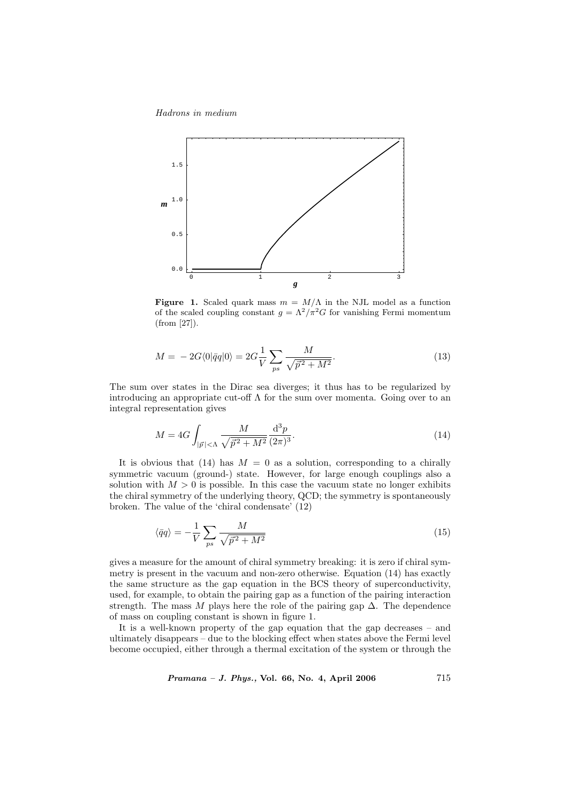

Figure 1. Scaled quark mass  $m = M/\Lambda$  in the NJL model as a function of the scaled coupling constant  $g = \Lambda^2 / \pi^2 G$  for vanishing Fermi momentum (from [27]).

$$
M = -2G\langle 0|\bar{q}q|0\rangle = 2G\frac{1}{V}\sum_{ps}\frac{M}{\sqrt{\vec{p}^2 + M^2}}.\tag{13}
$$

The sum over states in the Dirac sea diverges; it thus has to be regularized by introducing an appropriate cut-off  $\Lambda$  for the sum over momenta. Going over to an integral representation gives

$$
M = 4G \int_{|\vec{p}| < \Lambda} \frac{M}{\sqrt{\vec{p}^2 + M^2}} \frac{d^3 p}{(2\pi)^3}.
$$
 (14)

It is obvious that (14) has  $M = 0$  as a solution, corresponding to a chirally symmetric vacuum (ground-) state. However, for large enough couplings also a solution with  $M > 0$  is possible. In this case the vacuum state no longer exhibits the chiral symmetry of the underlying theory, QCD; the symmetry is spontaneously broken. The value of the 'chiral condensate' (12)

$$
\langle \bar{q}q \rangle = -\frac{1}{V} \sum_{ps} \frac{M}{\sqrt{\vec{p}^2 + M^2}} \tag{15}
$$

gives a measure for the amount of chiral symmetry breaking: it is zero if chiral symmetry is present in the vacuum and non-zero otherwise. Equation (14) has exactly the same structure as the gap equation in the BCS theory of superconductivity, used, for example, to obtain the pairing gap as a function of the pairing interaction strength. The mass M plays here the role of the pairing gap  $\Delta$ . The dependence of mass on coupling constant is shown in figure 1.

It is a well-known property of the gap equation that the gap decreases – and ultimately disappears – due to the blocking effect when states above the Fermi level become occupied, either through a thermal excitation of the system or through the

Pramana – J. Phys., Vol. 66, No. 4, April 2006 715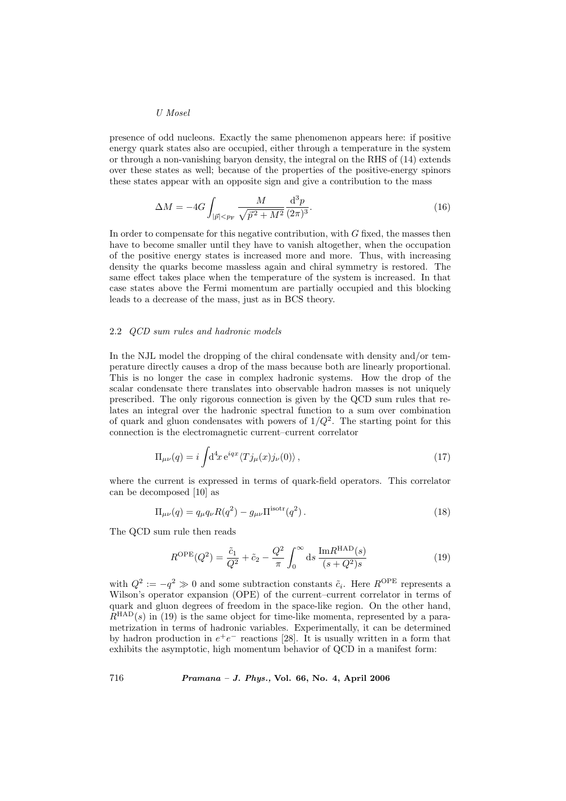presence of odd nucleons. Exactly the same phenomenon appears here: if positive energy quark states also are occupied, either through a temperature in the system or through a non-vanishing baryon density, the integral on the RHS of (14) extends over these states as well; because of the properties of the positive-energy spinors these states appear with an opposite sign and give a contribution to the mass

$$
\Delta M = -4G \int_{|\vec{p}| < p_{\rm F}} \frac{M}{\sqrt{\vec{p}^2 + M^2}} \frac{\mathrm{d}^3 p}{(2\pi)^3} . \tag{16}
$$

In order to compensate for this negative contribution, with  $G$  fixed, the masses then have to become smaller until they have to vanish altogether, when the occupation of the positive energy states is increased more and more. Thus, with increasing density the quarks become massless again and chiral symmetry is restored. The same effect takes place when the temperature of the system is increased. In that case states above the Fermi momentum are partially occupied and this blocking leads to a decrease of the mass, just as in BCS theory.

## 2.2 *OCD* sum rules and hadronic models

In the NJL model the dropping of the chiral condensate with density and/or temperature directly causes a drop of the mass because both are linearly proportional. This is no longer the case in complex hadronic systems. How the drop of the scalar condensate there translates into observable hadron masses is not uniquely prescribed. The only rigorous connection is given by the QCD sum rules that relates an integral over the hadronic spectral function to a sum over combination of quark and gluon condensates with powers of  $1/Q^2$ . The starting point for this connection is the electromagnetic current–current correlator

$$
\Pi_{\mu\nu}(q) = i \int d^4x \, e^{iqx} \langle T j_\mu(x) j_\nu(0) \rangle \,, \tag{17}
$$

where the current is expressed in terms of quark-field operators. This correlator can be decomposed [10] as

$$
\Pi_{\mu\nu}(q) = q_{\mu}q_{\nu}R(q^2) - g_{\mu\nu}\Pi^{\text{isotr}}(q^2).
$$
\n(18)

The QCD sum rule then reads

$$
R^{\rm OPE}(Q^2) = \frac{\tilde{c}_1}{Q^2} + \tilde{c}_2 - \frac{Q^2}{\pi} \int_0^\infty ds \, \frac{\text{Im}R^{\rm HAD}(s)}{(s+Q^2)s} \tag{19}
$$

with  $Q^2 := -q^2 \gg 0$  and some subtraction constants  $\tilde{c}_i$ . Here  $R^{\text{OPE}}$  represents a Wilson's operator expansion (OPE) of the current–current correlator in terms of quark and gluon degrees of freedom in the space-like region. On the other hand,  $R^{\text{HAD}}(s)$  in (19) is the same object for time-like momenta, represented by a parametrization in terms of hadronic variables. Experimentally, it can be determined by hadron production in  $e^+e^-$  reactions [28]. It is usually written in a form that exhibits the asymptotic, high momentum behavior of QCD in a manifest form: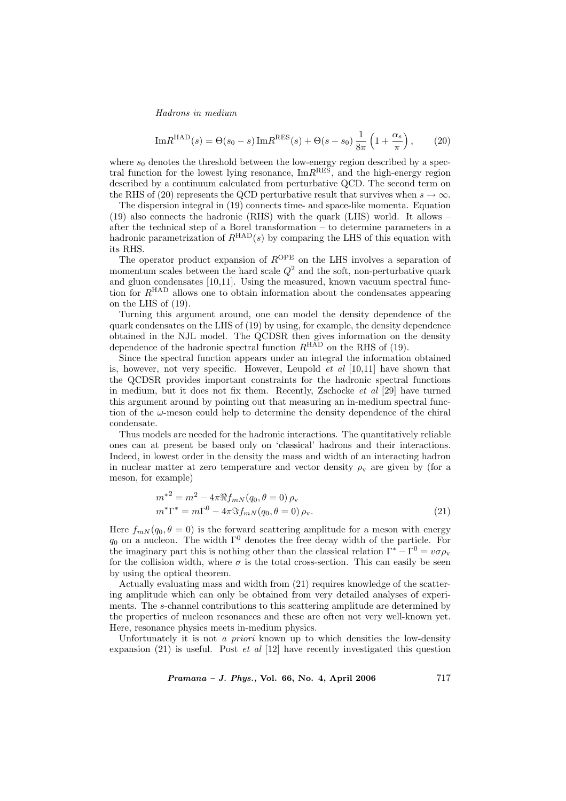$$
\mathrm{Im}R^{\mathrm{HAD}}(s) = \Theta(s_0 - s) \,\mathrm{Im}R^{\mathrm{RES}}(s) + \Theta(s - s_0) \,\frac{1}{8\pi} \left( 1 + \frac{\alpha_s}{\pi} \right),\tag{20}
$$

where  $s_0$  denotes the threshold between the low-energy region described by a spectral function for the lowest lying resonance,  $\text{Im}R^{\text{RES}}$ , and the high-energy region described by a continuum calculated from perturbative QCD. The second term on the RHS of (20) represents the QCD perturbative result that survives when  $s \to \infty$ .

The dispersion integral in (19) connects time- and space-like momenta. Equation (19) also connects the hadronic (RHS) with the quark (LHS) world. It allows – after the technical step of a Borel transformation – to determine parameters in a hadronic parametrization of  $R^{HAD}(s)$  by comparing the LHS of this equation with its RHS.

The operator product expansion of  $R^{OPE}$  on the LHS involves a separation of momentum scales between the hard scale  $Q<sup>2</sup>$  and the soft, non-perturbative quark and gluon condensates [10,11]. Using the measured, known vacuum spectral function for  $R^{\text{HAD}}$  allows one to obtain information about the condensates appearing on the LHS of (19).

Turning this argument around, one can model the density dependence of the quark condensates on the LHS of (19) by using, for example, the density dependence obtained in the NJL model. The QCDSR then gives information on the density dependence of the hadronic spectral function  $R^{HAD}$  on the RHS of (19).

Since the spectral function appears under an integral the information obtained is, however, not very specific. However, Leupold et al [10,11] have shown that the QCDSR provides important constraints for the hadronic spectral functions in medium, but it does not fix them. Recently, Zschocke  $et \ al \ [29]$  have turned this argument around by pointing out that measuring an in-medium spectral function of the  $\omega$ -meson could help to determine the density dependence of the chiral condensate.

Thus models are needed for the hadronic interactions. The quantitatively reliable ones can at present be based only on 'classical' hadrons and their interactions. Indeed, in lowest order in the density the mass and width of an interacting hadron in nuclear matter at zero temperature and vector density  $\rho_{\rm v}$  are given by (for a meson, for example)

$$
m^{*2} = m^2 - 4\pi \Re f_{mN}(q_0, \theta = 0) \rho_v
$$
  

$$
m^* \Gamma^* = m \Gamma^0 - 4\pi \Im f_{mN}(q_0, \theta = 0) \rho_v.
$$
 (21)

Here  $f_{mN}(q_0, \theta = 0)$  is the forward scattering amplitude for a meson with energy  $q_0$  on a nucleon. The width  $\Gamma^0$  denotes the free decay width of the particle. For the imaginary part this is nothing other than the classical relation  $\Gamma^* - \Gamma^0 = v \sigma \rho_v$ for the collision width, where  $\sigma$  is the total cross-section. This can easily be seen by using the optical theorem.

Actually evaluating mass and width from (21) requires knowledge of the scattering amplitude which can only be obtained from very detailed analyses of experiments. The s-channel contributions to this scattering amplitude are determined by the properties of nucleon resonances and these are often not very well-known yet. Here, resonance physics meets in-medium physics.

Unfortunately it is not  $\alpha$  priori known up to which densities the low-density expansion  $(21)$  is useful. Post *et al*  $[12]$  have recently investigated this question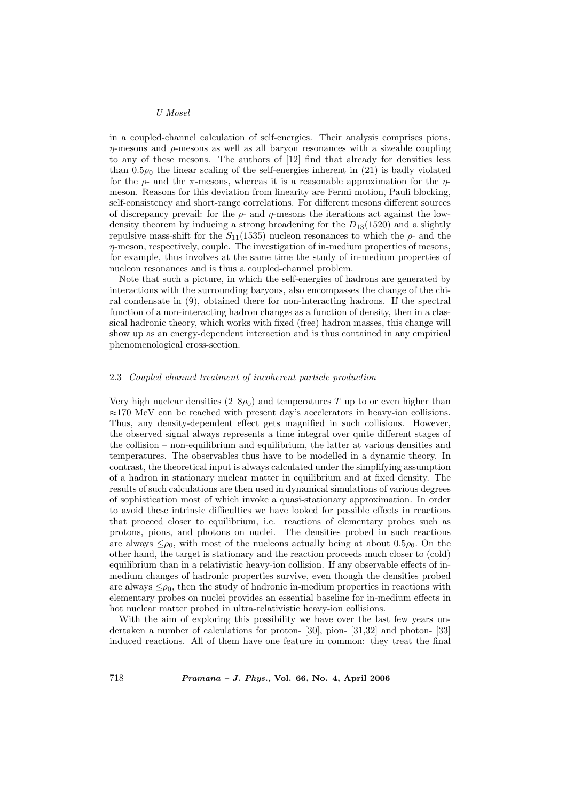in a coupled-channel calculation of self-energies. Their analysis comprises pions,  $\eta$ -mesons and  $\rho$ -mesons as well as all baryon resonances with a sizeable coupling to any of these mesons. The authors of [12] find that already for densities less than  $0.5\rho_0$  the linear scaling of the self-energies inherent in (21) is badly violated for the  $\rho$ - and the  $\pi$ -mesons, whereas it is a reasonable approximation for the  $\eta$ meson. Reasons for this deviation from linearity are Fermi motion, Pauli blocking, self-consistency and short-range correlations. For different mesons different sources of discrepancy prevail: for the  $\rho$ - and  $\eta$ -mesons the iterations act against the lowdensity theorem by inducing a strong broadening for the  $D_{13}(1520)$  and a slightly repulsive mass-shift for the  $S_{11}(1535)$  nucleon resonances to which the  $\rho$ - and the  $\eta$ -meson, respectively, couple. The investigation of in-medium properties of mesons, for example, thus involves at the same time the study of in-medium properties of nucleon resonances and is thus a coupled-channel problem.

Note that such a picture, in which the self-energies of hadrons are generated by interactions with the surrounding baryons, also encompasses the change of the chiral condensate in (9), obtained there for non-interacting hadrons. If the spectral function of a non-interacting hadron changes as a function of density, then in a classical hadronic theory, which works with fixed (free) hadron masses, this change will show up as an energy-dependent interaction and is thus contained in any empirical phenomenological cross-section.

### 2.3 Coupled channel treatment of incoherent particle production

Very high nuclear densities  $(2-8\rho_0)$  and temperatures T up to or even higher than  $\approx$ 170 MeV can be reached with present day's accelerators in heavy-ion collisions. Thus, any density-dependent effect gets magnified in such collisions. However, the observed signal always represents a time integral over quite different stages of the collision – non-equilibrium and equilibrium, the latter at various densities and temperatures. The observables thus have to be modelled in a dynamic theory. In contrast, the theoretical input is always calculated under the simplifying assumption of a hadron in stationary nuclear matter in equilibrium and at fixed density. The results of such calculations are then used in dynamical simulations of various degrees of sophistication most of which invoke a quasi-stationary approximation. In order to avoid these intrinsic difficulties we have looked for possible effects in reactions that proceed closer to equilibrium, i.e. reactions of elementary probes such as protons, pions, and photons on nuclei. The densities probed in such reactions are always  $\leq \rho_0$ , with most of the nucleons actually being at about  $0.5\rho_0$ . On the other hand, the target is stationary and the reaction proceeds much closer to (cold) equilibrium than in a relativistic heavy-ion collision. If any observable effects of inmedium changes of hadronic properties survive, even though the densities probed are always  $\leq \rho_0$ , then the study of hadronic in-medium properties in reactions with elementary probes on nuclei provides an essential baseline for in-medium effects in hot nuclear matter probed in ultra-relativistic heavy-ion collisions.

With the aim of exploring this possibility we have over the last few years undertaken a number of calculations for proton- [30], pion- [31,32] and photon- [33] induced reactions. All of them have one feature in common: they treat the final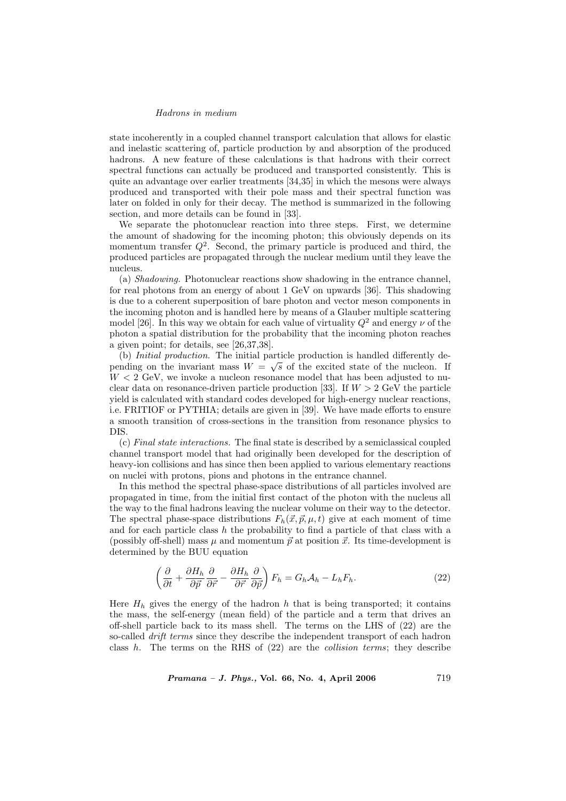state incoherently in a coupled channel transport calculation that allows for elastic and inelastic scattering of, particle production by and absorption of the produced hadrons. A new feature of these calculations is that hadrons with their correct spectral functions can actually be produced and transported consistently. This is quite an advantage over earlier treatments [34,35] in which the mesons were always produced and transported with their pole mass and their spectral function was later on folded in only for their decay. The method is summarized in the following section, and more details can be found in [33].

We separate the photonuclear reaction into three steps. First, we determine the amount of shadowing for the incoming photon; this obviously depends on its momentum transfer  $Q^2$ . Second, the primary particle is produced and third, the produced particles are propagated through the nuclear medium until they leave the nucleus.

(a) Shadowing. Photonuclear reactions show shadowing in the entrance channel, for real photons from an energy of about 1 GeV on upwards [36]. This shadowing is due to a coherent superposition of bare photon and vector meson components in the incoming photon and is handled here by means of a Glauber multiple scattering model [26]. In this way we obtain for each value of virtuality  $Q^2$  and energy  $\nu$  of the photon a spatial distribution for the probability that the incoming photon reaches a given point; for details, see [26,37,38].

(b) Initial production. The initial particle production is handled differently depending on the invariant mass  $W = \sqrt{s}$  of the excited state of the nucleon. If  $W < 2$  GeV, we invoke a nucleon resonance model that has been adjusted to nuclear data on resonance-driven particle production [33]. If  $W > 2$  GeV the particle yield is calculated with standard codes developed for high-energy nuclear reactions, i.e. FRITIOF or PYTHIA; details are given in [39]. We have made efforts to ensure a smooth transition of cross-sections in the transition from resonance physics to DIS.

(c) Final state interactions. The final state is described by a semiclassical coupled channel transport model that had originally been developed for the description of heavy-ion collisions and has since then been applied to various elementary reactions on nuclei with protons, pions and photons in the entrance channel.

In this method the spectral phase-space distributions of all particles involved are propagated in time, from the initial first contact of the photon with the nucleus all the way to the final hadrons leaving the nuclear volume on their way to the detector. The spectral phase-space distributions  $F_h(\vec{x}, \vec{p}, \mu, t)$  give at each moment of time and for each particle class  $h$  the probability to find a particle of that class with a (possibly off-shell) mass  $\mu$  and momentum  $\vec{p}$  at position  $\vec{x}$ . Its time-development is determined by the BUU equation

$$
\left(\frac{\partial}{\partial t} + \frac{\partial H_h}{\partial \vec{p}} \frac{\partial}{\partial \vec{r}} - \frac{\partial H_h}{\partial \vec{r}} \frac{\partial}{\partial \vec{p}}\right) F_h = G_h \mathcal{A}_h - L_h F_h.
$$
\n(22)

Here  $H_h$  gives the energy of the hadron  $h$  that is being transported; it contains the mass, the self-energy (mean field) of the particle and a term that drives an off-shell particle back to its mass shell. The terms on the LHS of (22) are the so-called *drift terms* since they describe the independent transport of each hadron class h. The terms on the RHS of  $(22)$  are the *collision terms*; they describe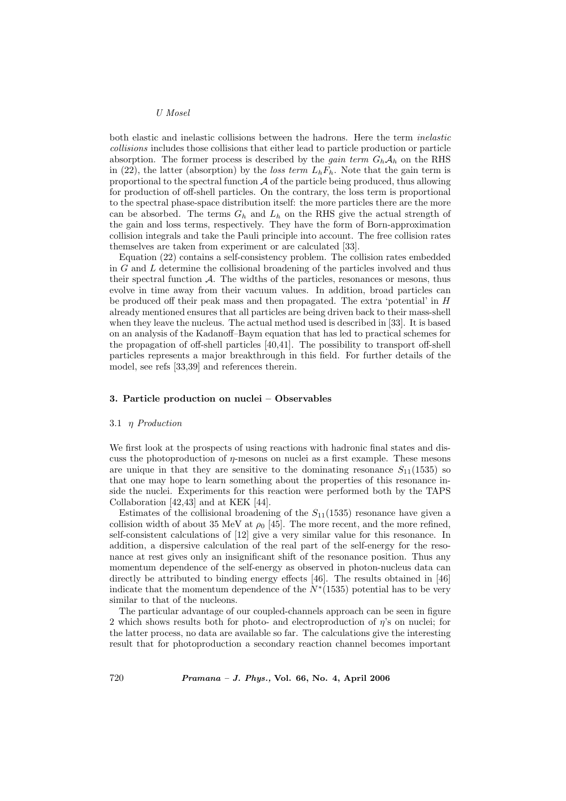both elastic and inelastic collisions between the hadrons. Here the term inelastic collisions includes those collisions that either lead to particle production or particle absorption. The former process is described by the *gain term*  $G_h \mathcal{A}_h$  on the RHS in (22), the latter (absorption) by the loss term  $L_hF_h$ . Note that the gain term is proportional to the spectral function  $A$  of the particle being produced, thus allowing for production of off-shell particles. On the contrary, the loss term is proportional to the spectral phase-space distribution itself: the more particles there are the more can be absorbed. The terms  $G_h$  and  $L_h$  on the RHS give the actual strength of the gain and loss terms, respectively. They have the form of Born-approximation collision integrals and take the Pauli principle into account. The free collision rates themselves are taken from experiment or are calculated [33].

Equation (22) contains a self-consistency problem. The collision rates embedded in G and L determine the collisional broadening of the particles involved and thus their spectral function  $\mathcal{A}$ . The widths of the particles, resonances or mesons, thus evolve in time away from their vacuum values. In addition, broad particles can be produced off their peak mass and then propagated. The extra 'potential' in H already mentioned ensures that all particles are being driven back to their mass-shell when they leave the nucleus. The actual method used is described in [33]. It is based on an analysis of the Kadanoff–Baym equation that has led to practical schemes for the propagation of off-shell particles [40,41]. The possibility to transport off-shell particles represents a major breakthrough in this field. For further details of the model, see refs [33,39] and references therein.

# 3. Particle production on nuclei – Observables

#### 3.1 η Production

We first look at the prospects of using reactions with hadronic final states and discuss the photoproduction of  $\eta$ -mesons on nuclei as a first example. These mesons are unique in that they are sensitive to the dominating resonance  $S_{11}(1535)$  so that one may hope to learn something about the properties of this resonance inside the nuclei. Experiments for this reaction were performed both by the TAPS Collaboration [42,43] and at KEK [44].

Estimates of the collisional broadening of the  $S_{11}(1535)$  resonance have given a collision width of about 35 MeV at  $\rho_0$  [45]. The more recent, and the more refined, self-consistent calculations of [12] give a very similar value for this resonance. In addition, a dispersive calculation of the real part of the self-energy for the resonance at rest gives only an insignificant shift of the resonance position. Thus any momentum dependence of the self-energy as observed in photon-nucleus data can directly be attributed to binding energy effects [46]. The results obtained in [46] indicate that the momentum dependence of the  $N^*(1535)$  potential has to be very similar to that of the nucleons.

The particular advantage of our coupled-channels approach can be seen in figure 2 which shows results both for photo- and electroproduction of  $\eta$ 's on nuclei; for the latter process, no data are available so far. The calculations give the interesting result that for photoproduction a secondary reaction channel becomes important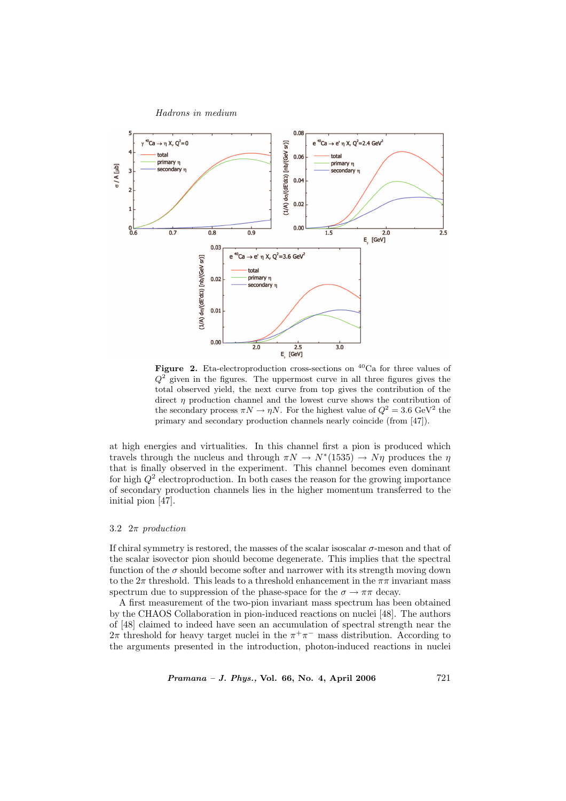

**Figure 2.** Eta-electroproduction cross-sections on  ${}^{40}$ Ca for three values of  $Q^2$  given in the figures. The uppermost curve in all three figures gives the total observed yield, the next curve from top gives the contribution of the direct  $\eta$  production channel and the lowest curve shows the contribution of the secondary process  $\pi N \to \eta N$ . For the highest value of  $Q^2 = 3.6 \text{ GeV}^2$  the primary and secondary production channels nearly coincide (from [47]).

at high energies and virtualities. In this channel first a pion is produced which travels through the nucleus and through  $\pi N \to N^*(1535) \to N\eta$  produces the  $\eta$ that is finally observed in the experiment. This channel becomes even dominant for high  $Q^2$  electroproduction. In both cases the reason for the growing importance of secondary production channels lies in the higher momentum transferred to the initial pion [47].

#### 3.2  $2\pi$  production

If chiral symmetry is restored, the masses of the scalar isoscalar  $\sigma$ -meson and that of the scalar isovector pion should become degenerate. This implies that the spectral function of the  $\sigma$  should become softer and narrower with its strength moving down to the  $2\pi$  threshold. This leads to a threshold enhancement in the  $\pi\pi$  invariant mass spectrum due to suppression of the phase-space for the  $\sigma \to \pi \pi$  decay.

A first measurement of the two-pion invariant mass spectrum has been obtained by the CHAOS Collaboration in pion-induced reactions on nuclei [48]. The authors of [48] claimed to indeed have seen an accumulation of spectral strength near the  $2\pi$  threshold for heavy target nuclei in the  $\pi^{+}\pi^{-}$  mass distribution. According to the arguments presented in the introduction, photon-induced reactions in nuclei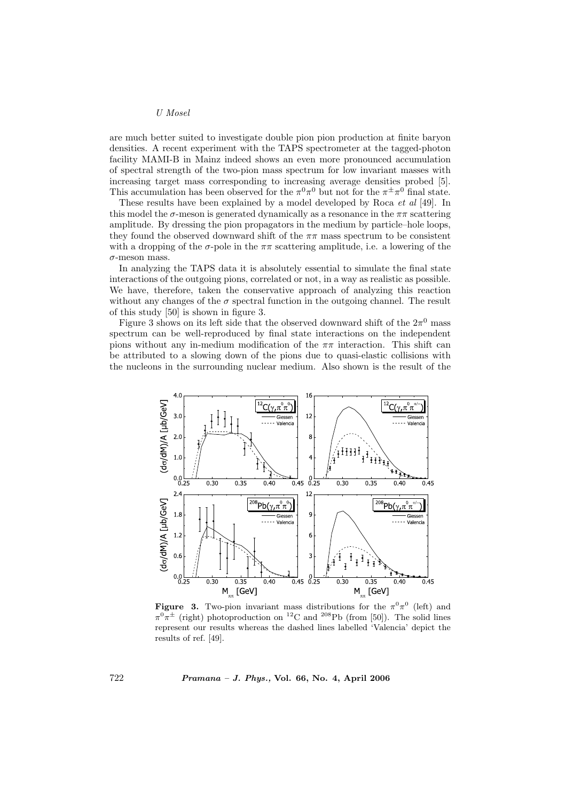are much better suited to investigate double pion pion production at finite baryon densities. A recent experiment with the TAPS spectrometer at the tagged-photon facility MAMI-B in Mainz indeed shows an even more pronounced accumulation of spectral strength of the two-pion mass spectrum for low invariant masses with increasing target mass corresponding to increasing average densities probed [5]. This accumulation has been observed for the  $\pi^0 \pi^0$  but not for the  $\pi^{\pm} \pi^0$  final state.

These results have been explained by a model developed by Roca et al [49]. In this model the  $\sigma$ -meson is generated dynamically as a resonance in the  $\pi\pi$  scattering amplitude. By dressing the pion propagators in the medium by particle–hole loops, they found the observed downward shift of the  $\pi\pi$  mass spectrum to be consistent with a dropping of the  $\sigma$ -pole in the  $\pi\pi$  scattering amplitude, i.e. a lowering of the  $\sigma$ -meson mass.

In analyzing the TAPS data it is absolutely essential to simulate the final state interactions of the outgoing pions, correlated or not, in a way as realistic as possible. We have, therefore, taken the conservative approach of analyzing this reaction without any changes of the  $\sigma$  spectral function in the outgoing channel. The result of this study [50] is shown in figure 3.

Figure 3 shows on its left side that the observed downward shift of the  $2\pi^0$  mass spectrum can be well-reproduced by final state interactions on the independent pions without any in-medium modification of the  $\pi\pi$  interaction. This shift can be attributed to a slowing down of the pions due to quasi-elastic collisions with the nucleons in the surrounding nuclear medium. Also shown is the result of the



**Figure 3.** Two-pion invariant mass distributions for the  $\pi^{0}\pi^{0}$  (left) and  $\pi^0 \pi^{\pm}$  (right) photoproduction on <sup>12</sup>C and <sup>208</sup>Pb (from [50]). The solid lines represent our results whereas the dashed lines labelled 'Valencia' depict the results of ref. [49].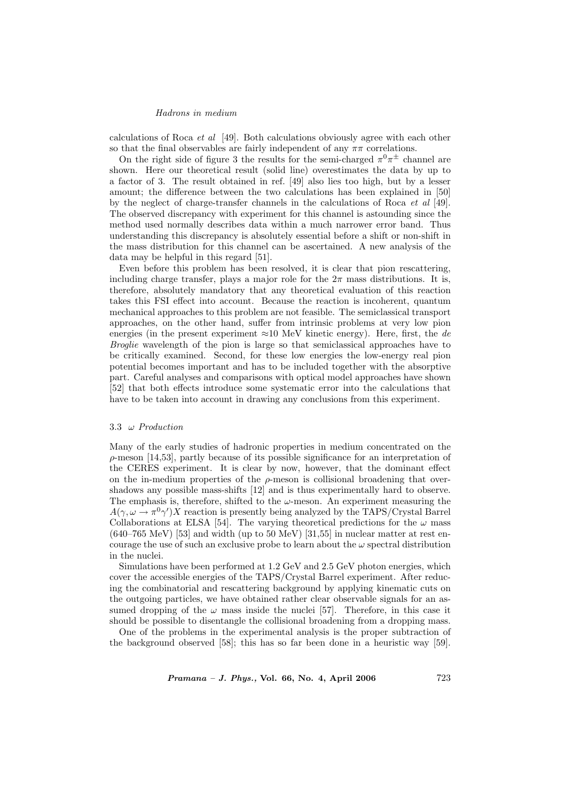calculations of Roca et al [49]. Both calculations obviously agree with each other so that the final observables are fairly independent of any  $\pi\pi$  correlations.

On the right side of figure 3 the results for the semi-charged  $\pi^0 \pi^{\pm}$  channel are shown. Here our theoretical result (solid line) overestimates the data by up to a factor of 3. The result obtained in ref. [49] also lies too high, but by a lesser amount; the difference between the two calculations has been explained in [50] by the neglect of charge-transfer channels in the calculations of Roca et al [49]. The observed discrepancy with experiment for this channel is astounding since the method used normally describes data within a much narrower error band. Thus understanding this discrepancy is absolutely essential before a shift or non-shift in the mass distribution for this channel can be ascertained. A new analysis of the data may be helpful in this regard [51].

Even before this problem has been resolved, it is clear that pion rescattering, including charge transfer, plays a major role for the  $2\pi$  mass distributions. It is, therefore, absolutely mandatory that any theoretical evaluation of this reaction takes this FSI effect into account. Because the reaction is incoherent, quantum mechanical approaches to this problem are not feasible. The semiclassical transport approaches, on the other hand, suffer from intrinsic problems at very low pion energies (in the present experiment  $\approx 10$  MeV kinetic energy). Here, first, the de Broglie wavelength of the pion is large so that semiclassical approaches have to be critically examined. Second, for these low energies the low-energy real pion potential becomes important and has to be included together with the absorptive part. Careful analyses and comparisons with optical model approaches have shown [52] that both effects introduce some systematic error into the calculations that have to be taken into account in drawing any conclusions from this experiment.

#### 3.3 ω Production

Many of the early studies of hadronic properties in medium concentrated on the  $\rho$ -meson [14,53], partly because of its possible significance for an interpretation of the CERES experiment. It is clear by now, however, that the dominant effect on the in-medium properties of the  $\rho$ -meson is collisional broadening that overshadows any possible mass-shifts [12] and is thus experimentally hard to observe. The emphasis is, therefore, shifted to the  $\omega$ -meson. An experiment measuring the  $A(\gamma, \omega \to \pi^0 \gamma')X$  reaction is presently being analyzed by the TAPS/Crystal Barrel Collaborations at ELSA [54]. The varying theoretical predictions for the  $\omega$  mass  $(640–765 \text{ MeV})$  [53] and width (up to 50 MeV) [31,55] in nuclear matter at rest encourage the use of such an exclusive probe to learn about the  $\omega$  spectral distribution in the nuclei.

Simulations have been performed at 1.2 GeV and 2.5 GeV photon energies, which cover the accessible energies of the TAPS/Crystal Barrel experiment. After reducing the combinatorial and rescattering background by applying kinematic cuts on the outgoing particles, we have obtained rather clear observable signals for an assumed dropping of the  $\omega$  mass inside the nuclei [57]. Therefore, in this case it should be possible to disentangle the collisional broadening from a dropping mass.

One of the problems in the experimental analysis is the proper subtraction of the background observed [58]; this has so far been done in a heuristic way [59].

 $Pramana - J. Phys., Vol. 66, No. 4, April 2006$  (723)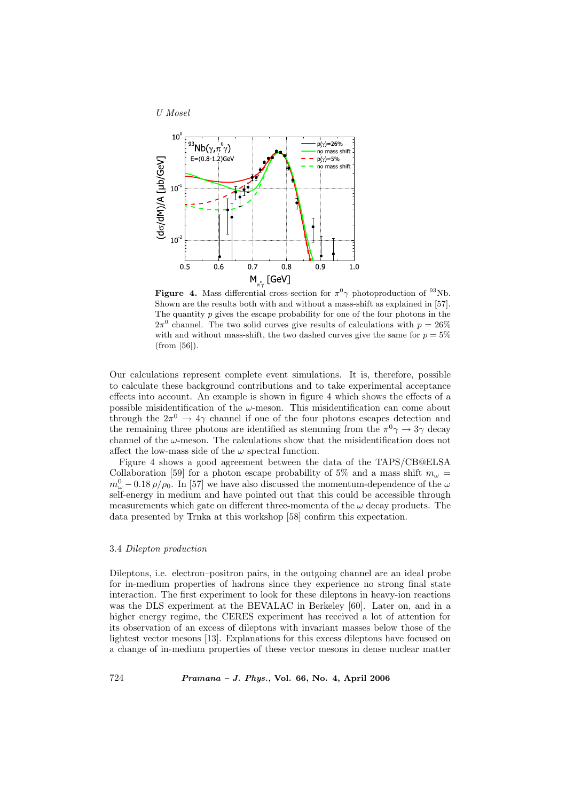

**Figure 4.** Mass differential cross-section for  $\pi^0 \gamma$  photoproduction of <sup>93</sup>Nb. Shown are the results both with and without a mass-shift as explained in [57]. The quantity p gives the escape probability for one of the four photons in the  $2\pi^0$  channel. The two solid curves give results of calculations with  $p = 26\%$ with and without mass-shift, the two dashed curves give the same for  $p = 5\%$ (from [56]).

Our calculations represent complete event simulations. It is, therefore, possible to calculate these background contributions and to take experimental acceptance effects into account. An example is shown in figure 4 which shows the effects of a possible misidentification of the  $\omega$ -meson. This misidentification can come about through the  $2\pi^0 \rightarrow 4\gamma$  channel if one of the four photons escapes detection and the remaining three photons are identified as stemming from the  $\pi^0 \gamma \to 3\gamma$  decay channel of the  $\omega$ -meson. The calculations show that the misidentification does not affect the low-mass side of the  $\omega$  spectral function.

Figure 4 shows a good agreement between the data of the TAPS/CB@ELSA Collaboration [59] for a photon escape probability of 5% and a mass shift  $m_{\omega}$  =  $m_\omega^0$  – 0.18  $\rho/\rho_0$ . In [57] we have also discussed the momentum-dependence of the  $\omega$ self-energy in medium and have pointed out that this could be accessible through measurements which gate on different three-momenta of the  $\omega$  decay products. The data presented by Trnka at this workshop [58] confirm this expectation.

#### 3.4 Dilepton production

Dileptons, i.e. electron–positron pairs, in the outgoing channel are an ideal probe for in-medium properties of hadrons since they experience no strong final state interaction. The first experiment to look for these dileptons in heavy-ion reactions was the DLS experiment at the BEVALAC in Berkeley [60]. Later on, and in a higher energy regime, the CERES experiment has received a lot of attention for its observation of an excess of dileptons with invariant masses below those of the lightest vector mesons [13]. Explanations for this excess dileptons have focused on a change of in-medium properties of these vector mesons in dense nuclear matter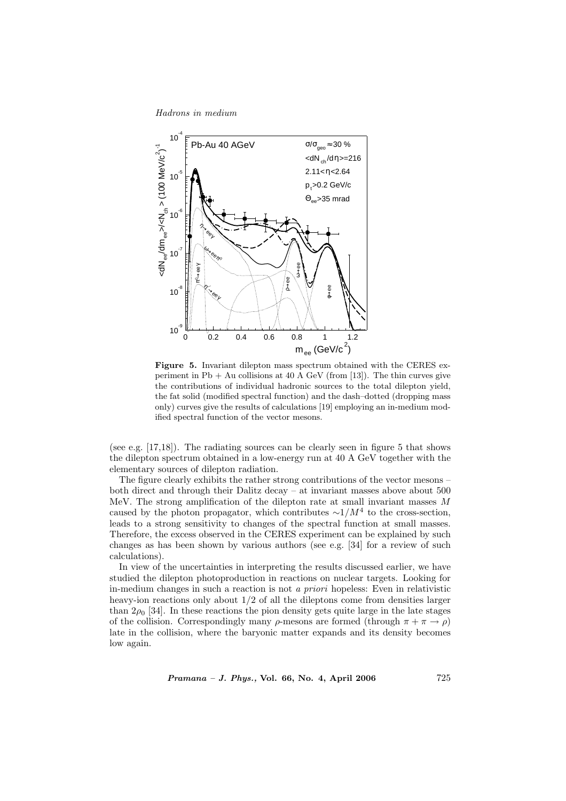Hadrons in medium



Figure 5. Invariant dilepton mass spectrum obtained with the CERES experiment in  $Pb + Au$  collisions at 40 A GeV (from [13]). The thin curves give the contributions of individual hadronic sources to the total dilepton yield, the fat solid (modified spectral function) and the dash–dotted (dropping mass only) curves give the results of calculations [19] employing an in-medium modified spectral function of the vector mesons.

(see e.g. [17,18]). The radiating sources can be clearly seen in figure 5 that shows the dilepton spectrum obtained in a low-energy run at 40 A GeV together with the elementary sources of dilepton radiation.

The figure clearly exhibits the rather strong contributions of the vector mesons – both direct and through their Dalitz decay – at invariant masses above about 500 MeV. The strong amplification of the dilepton rate at small invariant masses M caused by the photon propagator, which contributes  $\sim$ 1/ $M^4$  to the cross-section, leads to a strong sensitivity to changes of the spectral function at small masses. Therefore, the excess observed in the CERES experiment can be explained by such changes as has been shown by various authors (see e.g. [34] for a review of such calculations).

In view of the uncertainties in interpreting the results discussed earlier, we have studied the dilepton photoproduction in reactions on nuclear targets. Looking for in-medium changes in such a reaction is not a priori hopeless: Even in relativistic heavy-ion reactions only about 1/2 of all the dileptons come from densities larger than  $2\rho_0$  [34]. In these reactions the pion density gets quite large in the late stages of the collision. Correspondingly many  $\rho$ -mesons are formed (through  $\pi + \pi \to \rho$ ) late in the collision, where the baryonic matter expands and its density becomes low again.

 $Pramana - J. Phys., Vol. 66, No. 4, April 2006$  (725)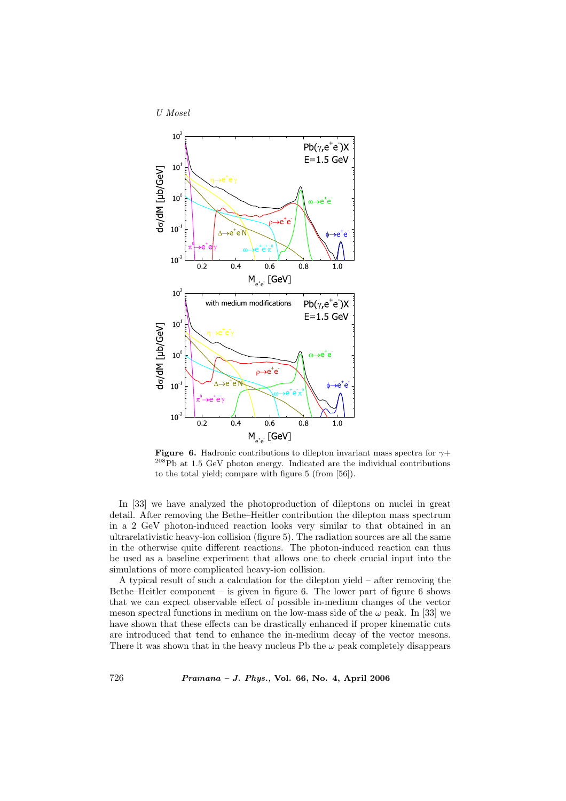



**Figure 6.** Hadronic contributions to dilepton invariant mass spectra for  $\gamma$ +  $^{208}$ Pb at 1.5 GeV photon energy. Indicated are the individual contributions to the total yield; compare with figure 5 (from [56]).

In [33] we have analyzed the photoproduction of dileptons on nuclei in great detail. After removing the Bethe–Heitler contribution the dilepton mass spectrum in a 2 GeV photon-induced reaction looks very similar to that obtained in an ultrarelativistic heavy-ion collision (figure 5). The radiation sources are all the same in the otherwise quite different reactions. The photon-induced reaction can thus be used as a baseline experiment that allows one to check crucial input into the simulations of more complicated heavy-ion collision.

A typical result of such a calculation for the dilepton yield – after removing the Bethe–Heitler component – is given in figure 6. The lower part of figure 6 shows that we can expect observable effect of possible in-medium changes of the vector meson spectral functions in medium on the low-mass side of the  $\omega$  peak. In [33] we have shown that these effects can be drastically enhanced if proper kinematic cuts are introduced that tend to enhance the in-medium decay of the vector mesons. There it was shown that in the heavy nucleus Pb the  $\omega$  peak completely disappears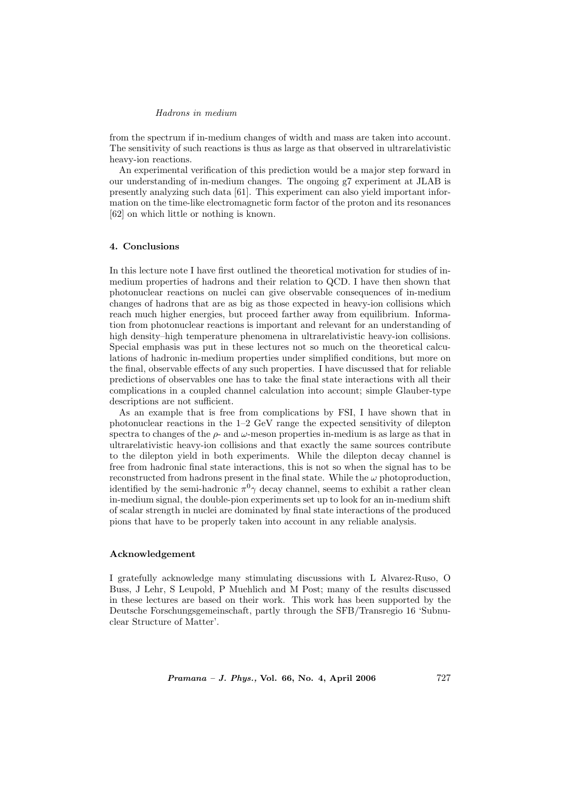from the spectrum if in-medium changes of width and mass are taken into account. The sensitivity of such reactions is thus as large as that observed in ultrarelativistic heavy-ion reactions.

An experimental verification of this prediction would be a major step forward in our understanding of in-medium changes. The ongoing g7 experiment at JLAB is presently analyzing such data [61]. This experiment can also yield important information on the time-like electromagnetic form factor of the proton and its resonances [62] on which little or nothing is known.

# 4. Conclusions

In this lecture note I have first outlined the theoretical motivation for studies of inmedium properties of hadrons and their relation to QCD. I have then shown that photonuclear reactions on nuclei can give observable consequences of in-medium changes of hadrons that are as big as those expected in heavy-ion collisions which reach much higher energies, but proceed farther away from equilibrium. Information from photonuclear reactions is important and relevant for an understanding of high density–high temperature phenomena in ultrarelativistic heavy-ion collisions. Special emphasis was put in these lectures not so much on the theoretical calculations of hadronic in-medium properties under simplified conditions, but more on the final, observable effects of any such properties. I have discussed that for reliable predictions of observables one has to take the final state interactions with all their complications in a coupled channel calculation into account; simple Glauber-type descriptions are not sufficient.

As an example that is free from complications by FSI, I have shown that in photonuclear reactions in the 1–2 GeV range the expected sensitivity of dilepton spectra to changes of the  $\rho$ - and  $\omega$ -meson properties in-medium is as large as that in ultrarelativistic heavy-ion collisions and that exactly the same sources contribute to the dilepton yield in both experiments. While the dilepton decay channel is free from hadronic final state interactions, this is not so when the signal has to be reconstructed from hadrons present in the final state. While the  $\omega$  photoproduction, identified by the semi-hadronic  $\pi^0 \gamma$  decay channel, seems to exhibit a rather clean in-medium signal, the double-pion experiments set up to look for an in-medium shift of scalar strength in nuclei are dominated by final state interactions of the produced pions that have to be properly taken into account in any reliable analysis.

#### Acknowledgement

I gratefully acknowledge many stimulating discussions with L Alvarez-Ruso, O Buss, J Lehr, S Leupold, P Muehlich and M Post; many of the results discussed in these lectures are based on their work. This work has been supported by the Deutsche Forschungsgemeinschaft, partly through the SFB/Transregio 16 'Subnuclear Structure of Matter'.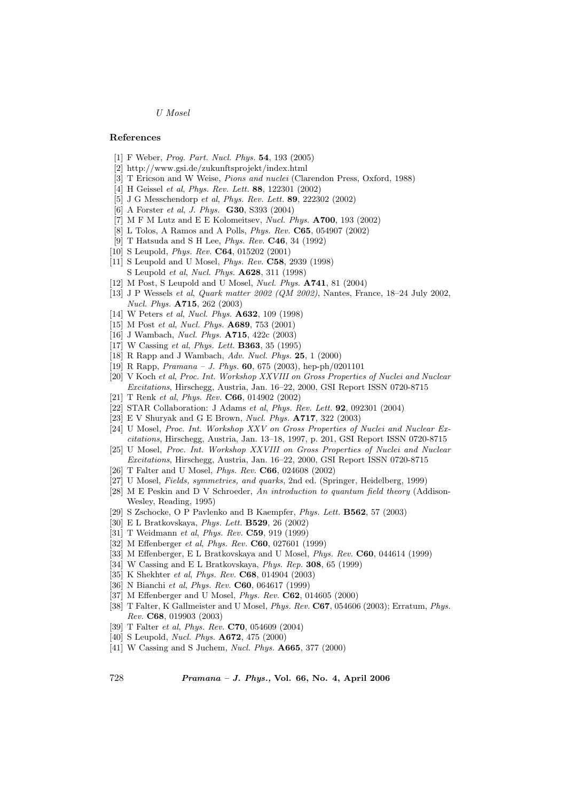#### References

- [1] F Weber, Prog. Part. Nucl. Phys. 54, 193 (2005)
- [2] http://www.gsi.de/zukunftsprojekt/index.html
- [3] T Ericson and W Weise, Pions and nuclei (Clarendon Press, Oxford, 1988)
- [4] H Geissel et al, Phys. Rev. Lett. 88, 122301 (2002)
- [5] J G Messchendorp et al, Phys. Rev. Lett. 89, 222302 (2002)
- [6] A Forster et al, J. Phys. G30, S393 (2004)
- [7] M F M Lutz and E E Kolomeitsev, Nucl. Phys. A700, 193 (2002)
- [8] L Tolos, A Ramos and A Polls, Phys. Rev. C65, 054907 (2002)
- [9] T Hatsuda and S H Lee, Phys. Rev. C46, 34 (1992)
- [10] S Leupold, *Phys. Rev.* **C64**, 015202 (2001)
- [11] S Leupold and U Mosel, *Phys. Rev.* **C58**, 2939 (1998) S Leupold et al, Nucl. Phys. A628, 311 (1998)
- [12] M Post, S Leupold and U Mosel, Nucl. Phys. A741, 81 (2004)
- [13] J P Wessels et al, Quark matter 2002 (QM 2002), Nantes, France, 18–24 July 2002, Nucl. Phys. A715, 262 (2003)
- [14] W Peters *et al, Nucl. Phys.* **A632**, 109 (1998)
- [15] M Post *et al, Nucl. Phys.* **A689**, 753 (2001)
- [16] J Wambach, Nucl. Phys. A715, 422c (2003)
- [17] W Cassing et al, Phys. Lett. **B363**, 35 (1995)
- [18] R Rapp and J Wambach, Adv. Nucl. Phys. 25, 1 (2000)
- [19] R Rapp, *Pramana J. Phys.* **60**, 675 (2003), hep-ph/0201101
- [20] V Koch et al, Proc. Int. Workshop XXVIII on Gross Properties of Nuclei and Nuclear Excitations, Hirschegg, Austria, Jan. 16–22, 2000, GSI Report ISSN 0720-8715
- [21] T Renk et al, Phys. Rev. C66, 014902 (2002)
- [22] STAR Collaboration: J Adams et al, Phys. Rev. Lett. 92, 092301 (2004)
- [23] E V Shuryak and G E Brown, Nucl. Phys. A717, 322 (2003)
- [24] U Mosel, Proc. Int. Workshop XXV on Gross Properties of Nuclei and Nuclear Excitations, Hirschegg, Austria, Jan. 13–18, 1997, p. 201, GSI Report ISSN 0720-8715
- [25] U Mosel, Proc. Int. Workshop XXVIII on Gross Properties of Nuclei and Nuclear Excitations, Hirschegg, Austria, Jan. 16–22, 2000, GSI Report ISSN 0720-8715
- [26] T Falter and U Mosel, Phys. Rev. C66, 024608 (2002)
- [27] U Mosel, Fields, symmetries, and quarks, 2nd ed. (Springer, Heidelberg, 1999)
- [28] M E Peskin and D V Schroeder, An introduction to quantum field theory (Addison-Wesley, Reading, 1995)
- [29] S Zschocke, O P Pavlenko and B Kaempfer, Phys. Lett. B562, 57 (2003)
- [30] E L Bratkovskaya, Phys. Lett. B529, 26 (2002)
- [31] T Weidmann et al, Phys. Rev. C59, 919 (1999)
- [32] M Effenberger et al, Phys. Rev. C60, 027601 (1999)
- [33] M Effenberger, E L Bratkovskaya and U Mosel, Phys. Rev. C60, 044614 (1999)
- [34] W Cassing and E L Bratkovskaya, Phys. Rep. 308, 65 (1999)
- [35] K Shekhter et al, Phys. Rev. C68, 014904 (2003)
- [36] N Bianchi et al, Phys. Rev. C60, 064617 (1999)
- [37] M Effenberger and U Mosel, *Phys. Rev.* **C62**, 014605 (2000)
- [38] T Falter, K Gallmeister and U Mosel, Phys. Rev. C67, 054606 (2003); Erratum, Phys. Rev. C68, 019903 (2003)
- [39] T Falter et al, Phys. Rev. C70, 054609 (2004)
- [40] S Leupold, Nucl. Phys. A672, 475 (2000)
- [41] W Cassing and S Juchem, *Nucl. Phys.* **A665**, 377 (2000)